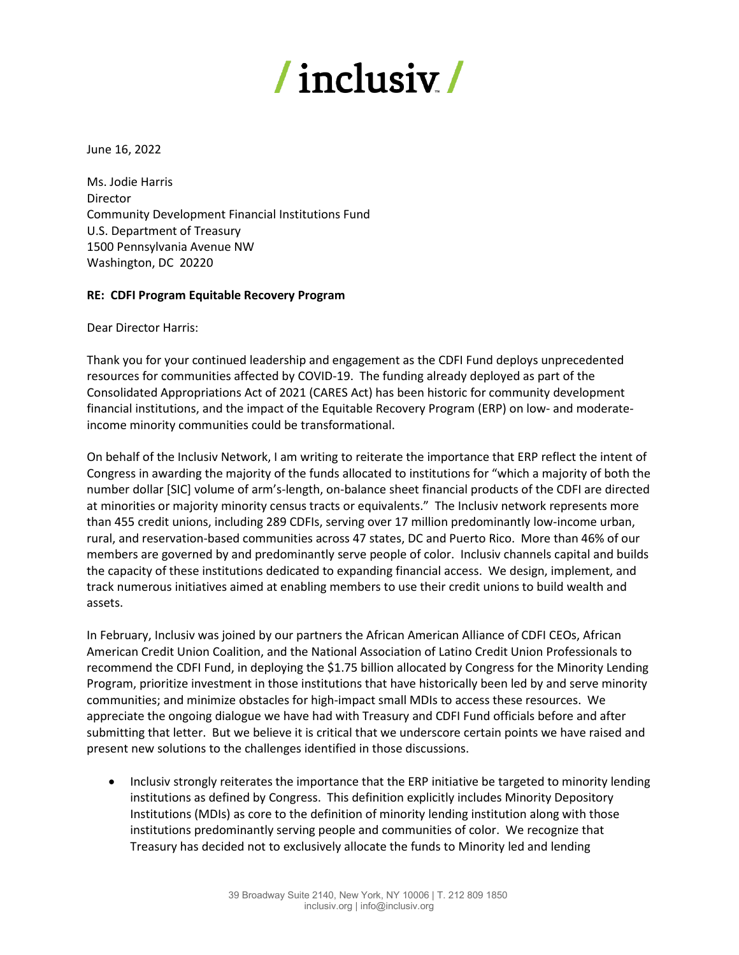## / inclusiy /

June 16, 2022

Ms. Jodie Harris Director Community Development Financial Institutions Fund U.S. Department of Treasury 1500 Pennsylvania Avenue NW Washington, DC 20220

## **RE: CDFI Program Equitable Recovery Program**

Dear Director Harris:

Thank you for your continued leadership and engagement as the CDFI Fund deploys unprecedented resources for communities affected by COVID-19. The funding already deployed as part of the Consolidated Appropriations Act of 2021 (CARES Act) has been historic for community development financial institutions, and the impact of the Equitable Recovery Program (ERP) on low- and moderateincome minority communities could be transformational.

On behalf of the Inclusiv Network, I am writing to reiterate the importance that ERP reflect the intent of Congress in awarding the majority of the funds allocated to institutions for "which a majority of both the number dollar [SIC] volume of arm's-length, on-balance sheet financial products of the CDFI are directed at minorities or majority minority census tracts or equivalents." The Inclusiv network represents more than 455 credit unions, including 289 CDFIs, serving over 17 million predominantly low-income urban, rural, and reservation-based communities across 47 states, DC and Puerto Rico. More than 46% of our members are governed by and predominantly serve people of color. Inclusiv channels capital and builds the capacity of these institutions dedicated to expanding financial access. We design, implement, and track numerous initiatives aimed at enabling members to use their credit unions to build wealth and assets.

In February, Inclusiv was joined by our partners the African American Alliance of CDFI CEOs, African American Credit Union Coalition, and the National Association of Latino Credit Union Professionals to recommend the CDFI Fund, in deploying the \$1.75 billion allocated by Congress for the Minority Lending Program, prioritize investment in those institutions that have historically been led by and serve minority communities; and minimize obstacles for high-impact small MDIs to access these resources. We appreciate the ongoing dialogue we have had with Treasury and CDFI Fund officials before and after submitting that letter. But we believe it is critical that we underscore certain points we have raised and present new solutions to the challenges identified in those discussions.

• Inclusiv strongly reiterates the importance that the ERP initiative be targeted to minority lending institutions as defined by Congress. This definition explicitly includes Minority Depository Institutions (MDIs) as core to the definition of minority lending institution along with those institutions predominantly serving people and communities of color. We recognize that Treasury has decided not to exclusively allocate the funds to Minority led and lending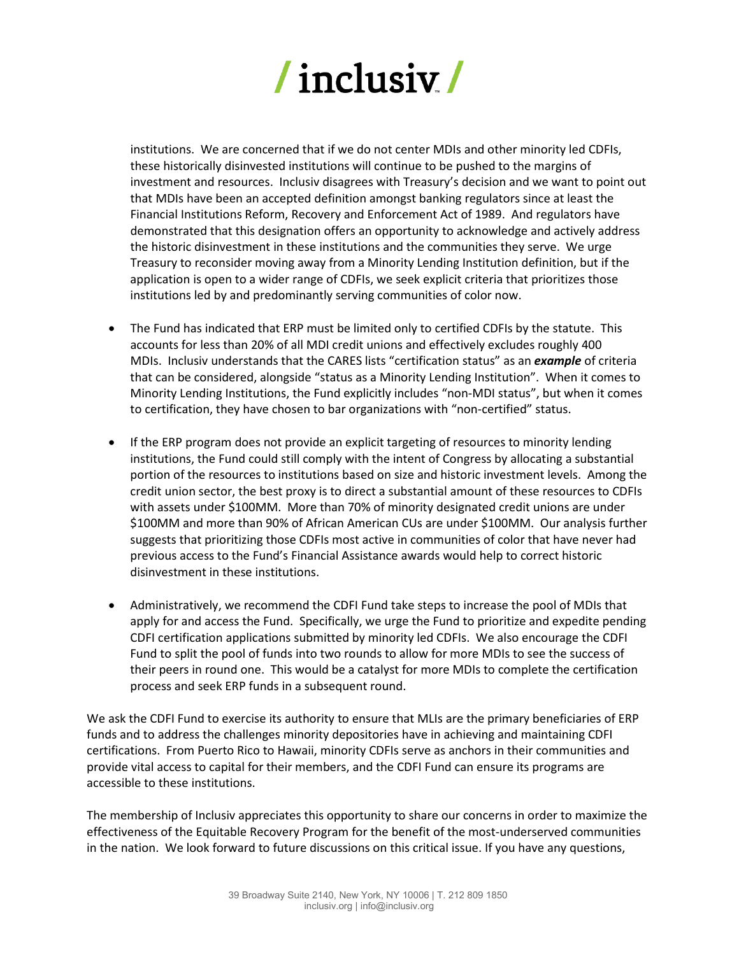

institutions. We are concerned that if we do not center MDIs and other minority led CDFIs, these historically disinvested institutions will continue to be pushed to the margins of investment and resources. Inclusiv disagrees with Treasury's decision and we want to point out that MDIs have been an accepted definition amongst banking regulators since at least the Financial Institutions Reform, Recovery and Enforcement Act of 1989. And regulators have demonstrated that this designation offers an opportunity to acknowledge and actively address the historic disinvestment in these institutions and the communities they serve. We urge Treasury to reconsider moving away from a Minority Lending Institution definition, but if the application is open to a wider range of CDFIs, we seek explicit criteria that prioritizes those institutions led by and predominantly serving communities of color now.

- The Fund has indicated that ERP must be limited only to certified CDFIs by the statute. This accounts for less than 20% of all MDI credit unions and effectively excludes roughly 400 MDIs. Inclusiv understands that the CARES lists "certification status" as an *example* of criteria that can be considered, alongside "status as a Minority Lending Institution". When it comes to Minority Lending Institutions, the Fund explicitly includes "non-MDI status", but when it comes to certification, they have chosen to bar organizations with "non-certified" status.
- If the ERP program does not provide an explicit targeting of resources to minority lending institutions, the Fund could still comply with the intent of Congress by allocating a substantial portion of the resources to institutions based on size and historic investment levels. Among the credit union sector, the best proxy is to direct a substantial amount of these resources to CDFIs with assets under \$100MM. More than 70% of minority designated credit unions are under \$100MM and more than 90% of African American CUs are under \$100MM. Our analysis further suggests that prioritizing those CDFIs most active in communities of color that have never had previous access to the Fund's Financial Assistance awards would help to correct historic disinvestment in these institutions.
- Administratively, we recommend the CDFI Fund take steps to increase the pool of MDIs that apply for and access the Fund. Specifically, we urge the Fund to prioritize and expedite pending CDFI certification applications submitted by minority led CDFIs. We also encourage the CDFI Fund to split the pool of funds into two rounds to allow for more MDIs to see the success of their peers in round one. This would be a catalyst for more MDIs to complete the certification process and seek ERP funds in a subsequent round.

We ask the CDFI Fund to exercise its authority to ensure that MLIs are the primary beneficiaries of ERP funds and to address the challenges minority depositories have in achieving and maintaining CDFI certifications. From Puerto Rico to Hawaii, minority CDFIs serve as anchors in their communities and provide vital access to capital for their members, and the CDFI Fund can ensure its programs are accessible to these institutions.

The membership of Inclusiv appreciates this opportunity to share our concerns in order to maximize the effectiveness of the Equitable Recovery Program for the benefit of the most-underserved communities in the nation. We look forward to future discussions on this critical issue. If you have any questions,